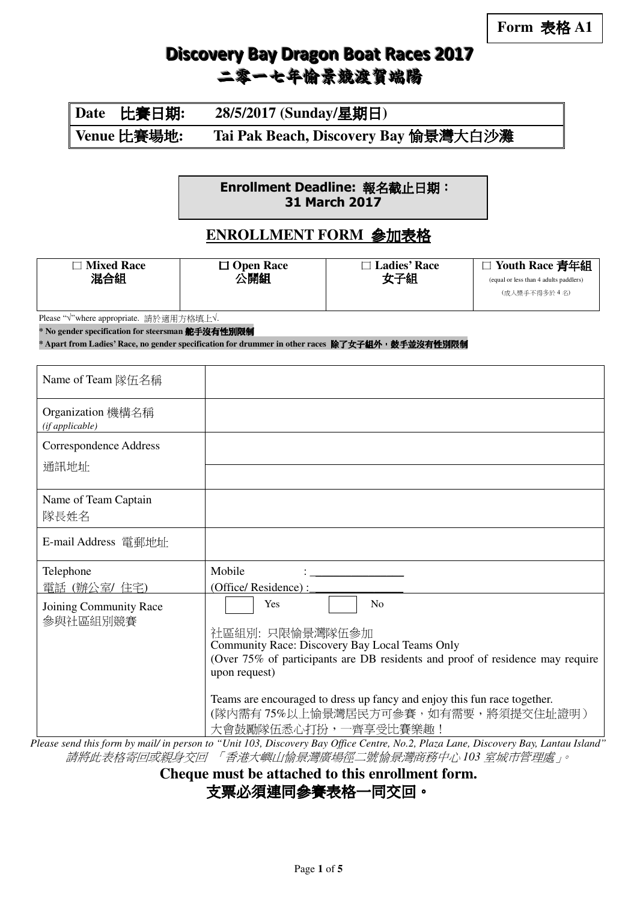| Date 比賽日期:  | 28/5/2017 (Sunday/星期日)               |
|-------------|--------------------------------------|
| Venue 比賽場地: | Tai Pak Beach, Discovery Bay 愉景灣大白沙灘 |

Enrollment Deadline: 報名截止日期: 31 March 2017

### **ENROLLMENT FORM** 參加表格

| <b>Mixed Race</b><br>混合組                                                                                                                                                                      | $\Box$ Open Race<br>公開組                                                                                                                                                                                                                                                                                                    | $\Box$ Ladies' Race<br>女子組 | □ Youth Race 青年組<br>(equal or less than 4 adults paddlers)<br>(成人槳手不得多於4名) |  |  |
|-----------------------------------------------------------------------------------------------------------------------------------------------------------------------------------------------|----------------------------------------------------------------------------------------------------------------------------------------------------------------------------------------------------------------------------------------------------------------------------------------------------------------------------|----------------------------|----------------------------------------------------------------------------|--|--|
| Please "√"where appropriate. 請於適用方格填上√.<br>* No gender specification for steersman 舵手沒有性別限制<br>* Apart from Ladies' Race, no gender specification for drummer in other races 除了女子組外,鼓手並沒有性別限制 |                                                                                                                                                                                                                                                                                                                            |                            |                                                                            |  |  |
| Name of Team 隊伍名稱                                                                                                                                                                             |                                                                                                                                                                                                                                                                                                                            |                            |                                                                            |  |  |
| Organization 機構名稱<br>(if applicable)                                                                                                                                                          |                                                                                                                                                                                                                                                                                                                            |                            |                                                                            |  |  |
| <b>Correspondence Address</b><br>通訊地址                                                                                                                                                         |                                                                                                                                                                                                                                                                                                                            |                            |                                                                            |  |  |
| Name of Team Captain<br>隊長姓名                                                                                                                                                                  |                                                                                                                                                                                                                                                                                                                            |                            |                                                                            |  |  |
| E-mail Address 電郵地址                                                                                                                                                                           |                                                                                                                                                                                                                                                                                                                            |                            |                                                                            |  |  |
| Telephone<br>電話 (辦公室/ 住宅)                                                                                                                                                                     | Mobile<br>(Office/Residence):                                                                                                                                                                                                                                                                                              |                            |                                                                            |  |  |
| Joining Community Race<br>參與社區組別競賽                                                                                                                                                            | Yes<br>No<br>社區組別: 只限愉景灣隊伍參加<br>Community Race: Discovery Bay Local Teams Only<br>(Over 75% of participants are DB residents and proof of residence may require<br>upon request)<br>Teams are encouraged to dress up fancy and enjoy this fun race together.<br>(隊內需有75%以上愉景灣居民方可參賽,如有需要,將須提交住址證明)<br>大會鼓勵隊伍悉心打扮,一齊享受比賽樂趣! |                            |                                                                            |  |  |

*Please send this form by mail/ in person to "Unit 103, Discovery Bay Office Centre, No.2, Plaza Lane, Discovery Bay, Lantau Island"* 請將此表格寄回或親身交回 「香港大嶼山愉景灣廣場徑二號愉景灣商務中心 *103* 室城市管理處」。

**Cheque must be attached to this enrollment form.** 

支票必須連同參賽表格一同交回。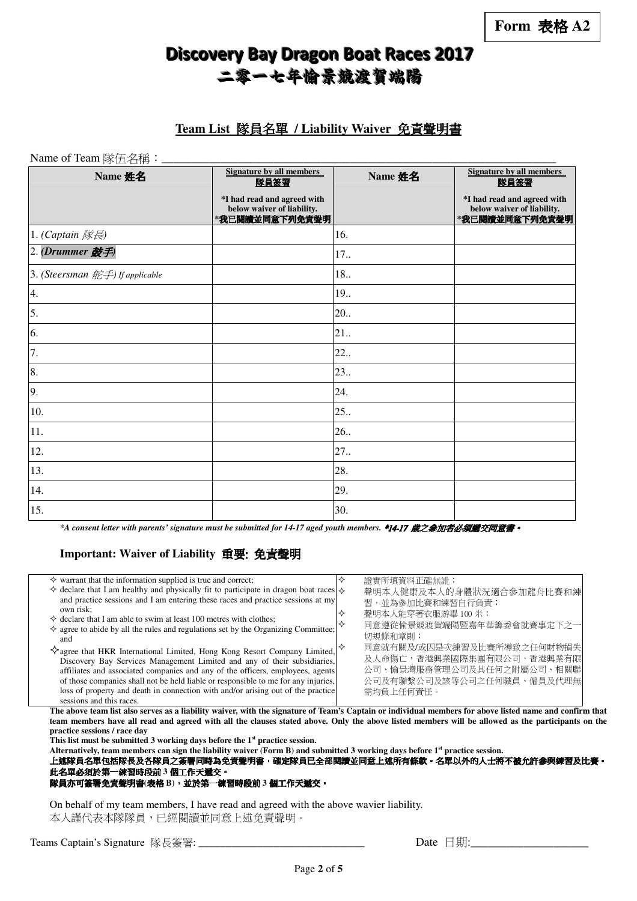#### **Team List** 隊員名單 **/ Liability Waiver** 免責聲明書

Name of Team 隊伍名稱:\_\_\_\_\_\_\_\_\_\_\_\_\_\_\_\_\_\_\_\_\_\_\_\_\_\_\_\_\_\_\_\_\_\_\_\_\_\_\_\_\_\_\_\_\_\_\_\_\_\_\_\_\_\_\_\_\_\_\_\_\_\_\_\_\_\_\_

| Name 姓名                                     | <b>Signature by all members</b><br>隊員簽署                                     | Name 姓名 | <b>Signature by all members</b><br>隊員簽署                                     |  |
|---------------------------------------------|-----------------------------------------------------------------------------|---------|-----------------------------------------------------------------------------|--|
|                                             | *I had read and agreed with<br>below waiver of liability.<br>*我已閱讀並同意下列免責聲明 |         | *I had read and agreed with<br>below waiver of liability.<br>*我已閱讀並同意下列免責聲明 |  |
| 1. (Captain 隊長)                             |                                                                             | 16.     |                                                                             |  |
| 2. (Drummer 鼓手)                             |                                                                             | 17.     |                                                                             |  |
| 3. (Steersman $\hat{E}\neq$ ) If applicable |                                                                             | 18      |                                                                             |  |
| 4.                                          |                                                                             | 19      |                                                                             |  |
| 5.                                          |                                                                             | 20.     |                                                                             |  |
| 6.                                          |                                                                             | 21.     |                                                                             |  |
| 7.                                          |                                                                             | 22.     |                                                                             |  |
| 8.                                          |                                                                             | 23.     |                                                                             |  |
| 9.                                          |                                                                             | 24.     |                                                                             |  |
| 10.                                         |                                                                             | 25.     |                                                                             |  |
| 11.                                         |                                                                             | 26.     |                                                                             |  |
| 12.                                         |                                                                             | 27.     |                                                                             |  |
| 13.                                         |                                                                             | 28.     |                                                                             |  |
| 14.                                         |                                                                             | 29.     |                                                                             |  |
| 15.                                         |                                                                             | 30.     |                                                                             |  |

*\*A consent letter with parents' signature must be submitted for 14-17 aged youth members.* \*14-17 歲之參加者必須遞交同意書 歲之參加者必須遞交同意書。

#### **Important: Waiver of Liability** 重要: 免責聲明

| $\diamond$ warrant that the information supplied is true and correct;                                                                                                      |  | 證實所填資料正確無訛;                |
|----------------------------------------------------------------------------------------------------------------------------------------------------------------------------|--|----------------------------|
| $\Diamond$ declare that I am healthy and physically fit to participate in dragon boat races $\Diamond$                                                                     |  | 聲明本人健康及本人的身體狀況適合參加龍舟比賽和練   |
| and practice sessions and I am entering these races and practice sessions at my                                                                                            |  | 習,並為參加比賽和練習自行負責;           |
| own risk:                                                                                                                                                                  |  | 聲明本人能穿著衣服游畢100米;           |
| $\diamond$ declare that I am able to swim at least 100 metres with clothes;<br>$\diamond$ agree to abide by all the rules and regulations set by the Organizing Committee; |  | 同意遵從愉景競渡賀端陽暨嘉年華籌委會就賽事定下之一  |
|                                                                                                                                                                            |  | 切規條和章則;                    |
| and                                                                                                                                                                        |  | 同意就有關及/或因是次練習及比賽所導致之任何財物損失 |
| $\diamondsuit$ agree that HKR International Limited, Hong Kong Resort Company Limited,                                                                                     |  | 及人命傷亡,香港興業國際集團有限公司、香港興業有限  |
| Discovery Bay Services Management Limited and any of their subsidiaries,                                                                                                   |  |                            |
| affiliates and associated companies and any of the officers, employees, agents                                                                                             |  | 公司、愉景灣服務管理公司及其任何之附屬公司、相關聯  |
| of those companies shall not be held liable or responsible to me for any injuries,                                                                                         |  | 公司及有聯繫公司及該等公司之任何職員、僱員及代理無  |
| loss of property and death in connection with and/or arising out of the practice                                                                                           |  | 需均負上任何責任。                  |
| sessions and this races.                                                                                                                                                   |  |                            |

**The above team list also serves as a liability waiver, with the signature of Team's Captain or individual members for above listed name and confirm that team members have all read and agreed with all the clauses stated above. Only the above listed members will be allowed as the participants on the practice sessions / race day** 

**This list must be submitted 3 working days before the 1st practice session.** 

**Alternatively, team members can sign the liability waiver (Form B) and submitted 3 working days before 1st practice session.** 

上述隊員名單包括隊長及各隊員之簽署同時為免責聲明書,確定隊員已全部閱讀並同意上述所有條款。名單以外的人士將不被允許參與練習及比賽。 此名單必須於第一練習時段前 **3** 個工作天遞交。

#### 隊員亦可簽署免責聲明書**(**表格 **B)**,並於第一練習時段前 **3** 個工作天遞交。

On behalf of my team members, I have read and agreed with the above wavier liability. 本人謹代表本隊隊員,已經閱讀並同意上述免責聲明。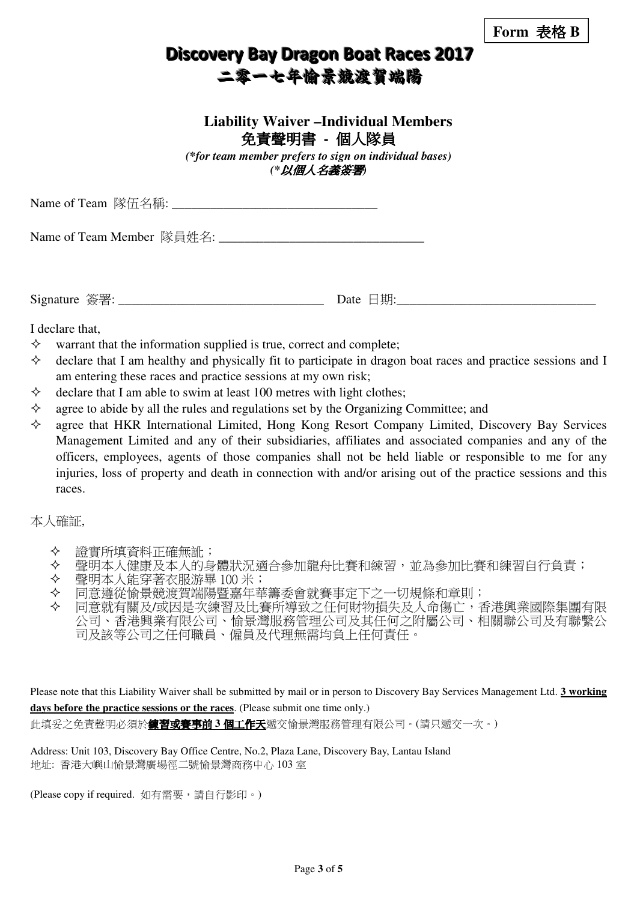### **Liability Waiver –Individual Members**  免責聲明書 **-** 個人隊員

*(\*for team member prefers to sign on individual bases) (\**以個人名義簽署*)* 

| Name of Team 隊伍名稱: |  |
|--------------------|--|
|--------------------|--|

Name of Team Member 队員姓名:

Signature  $\mathfrak{F} \mathbb{F}$ :  $\Box$  Date  $\Box$  #1:

I declare that,

- $\diamond$  warrant that the information supplied is true, correct and complete;
- $\Diamond$  declare that I am healthy and physically fit to participate in dragon boat races and practice sessions and I am entering these races and practice sessions at my own risk;
- $\Diamond$  declare that I am able to swim at least 100 metres with light clothes;
- $\Diamond$  agree to abide by all the rules and regulations set by the Organizing Committee; and
- $\Diamond$  agree that HKR International Limited, Hong Kong Resort Company Limited, Discovery Bay Services Management Limited and any of their subsidiaries, affiliates and associated companies and any of the officers, employees, agents of those companies shall not be held liable or responsible to me for any injuries, loss of property and death in connection with and/or arising out of the practice sessions and this races.

#### 本人確証,

- 證實所填資料正確無訛;
- ◆ 聲明本人健康及本人的身體狀況適合參加龍舟比賽和練習,並為參加比賽和練習自行負責;
- 聲明本人能穿著衣服游畢 100 米;
- ◆ 同意遵從愉景競渡賀端陽暨嘉年華籌委會就賽事定下之一切規條和章則;
- 同意就有關及/或因是次練習及比賽所導致之任何財物損失及人命傷亡,香港興業國際集團有限 公司、香港興業有限公司、愉景灣服務管理公司及其任何之附屬公司、相關聯公司及有聯繫公 司及該等公司之任何職員、僱員及代理無需均負上任何責任。

Please note that this Liability Waiver shall be submitted by mail or in person to Discovery Bay Services Management Ltd. **3 working days before the practice sessions or the races**. (Please submit one time only.) 此填妥之免責聲明必須於<mark>練習或賽事前 3 個工作天</mark>遞交愉景灣服務管理有限公司。(請只遞交一次。)

Address: Unit 103, Discovery Bay Office Centre, No.2, Plaza Lane, Discovery Bay, Lantau Island 地址: 香港大嶼山愉景灣廣場徑二號愉景灣商務中心 103 室

(Please copy if required. 如有需要,請自行影印。)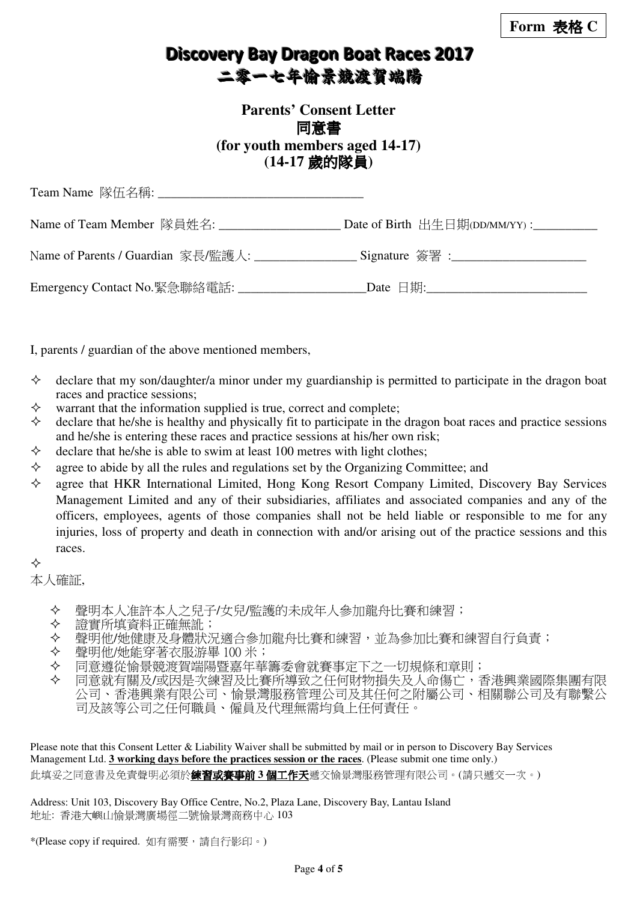### **Parents' Consent Letter**  同意書 **(for youth members aged 14-17) (14-17** 歲的隊員**)**

| Name of Team Member 隊員姓名:                   | Date of Birth $\pm \pm \pm \frac{1}{2}$ $\frac{1}{2}$ $\frac{1}{2}$ $\frac{1}{2}$ $\frac{1}{2}$ $\frac{1}{2}$ $\frac{1}{2}$ $\frac{1}{2}$ $\frac{1}{2}$ $\frac{1}{2}$ $\frac{1}{2}$ $\frac{1}{2}$ $\frac{1}{2}$ $\frac{1}{2}$ $\frac{1}{2}$ $\frac{1}{2}$ $\frac{1}{2}$ $\frac{1}{2}$ $\frac{1}{2}$ $\frac{1}{2}$ |
|---------------------------------------------|-------------------------------------------------------------------------------------------------------------------------------------------------------------------------------------------------------------------------------------------------------------------------------------------------------------------|
| Name of Parents / Guardian 家長/監護人:          |                                                                                                                                                                                                                                                                                                                   |
| Emergency Contact No.緊急聯絡電話: ______________ | Date $\Box$ 期:                                                                                                                                                                                                                                                                                                    |

I, parents / guardian of the above mentioned members,

- $\Diamond$  declare that my son/daughter/a minor under my guardianship is permitted to participate in the dragon boat races and practice sessions;
- $\diamond$  warrant that the information supplied is true, correct and complete;
- $\Diamond$  declare that he/she is healthy and physically fit to participate in the dragon boat races and practice sessions and he/she is entering these races and practice sessions at his/her own risk;
- $\Diamond$  declare that he/she is able to swim at least 100 metres with light clothes;
- $\Diamond$  agree to abide by all the rules and regulations set by the Organizing Committee; and
- $\Diamond$  agree that HKR International Limited, Hong Kong Resort Company Limited, Discovery Bay Services Management Limited and any of their subsidiaries, affiliates and associated companies and any of the officers, employees, agents of those companies shall not be held liable or responsible to me for any injuries, loss of property and death in connection with and/or arising out of the practice sessions and this races.

❖

本人確証,

- 聲明本人准許本人之兒子/女兒/監護的未成年人參加龍舟比賽和練習;
- 
- ◆ 證實所填資料正確無訛;<br>◆ 聲明他/她健康及身體狀*》*<br>◆ 聲明他/她能穿著衣服游<sup>星</sup> 聲明他/她健康及身體狀況適合參加龍舟比賽和練習,並為參加比賽和練習自行負責;
- 
- ◆ 聲明他/她能穿著衣服游畢 100 米;<br>◆ 同意遵從愉景競渡賀端陽暨嘉年華 同意遵從愉景競渡賀端陽暨嘉年華籌委會就賽事定下之一切規條和章則;
- 同意就有關及/或因是次練習及比賽所導致之任何財物損失及人命傷亡,香港興業國際集團有限 公司、香港興業有限公司、愉景灣服務管理公司及其任何之附屬公司、相關聯公司及有聯繫公 司及該等公司之任何職員、僱員及代理無需均負上任何責任。

Please note that this Consent Letter & Liability Waiver shall be submitted by mail or in person to Discovery Bay Services Management Ltd. **3 working days before the practices session or the races**. (Please submit one time only.) 此填妥之同意書及免責聲明必須於練習或賽事前 **3** 個工作天遞交愉景灣服務管理有限公司。(請只遞交一次。)

Address: Unit 103, Discovery Bay Office Centre, No.2, Plaza Lane, Discovery Bay, Lantau Island 地址: 香港大嶼山愉景灣廣場徑二號愉景灣商務中心 103

\*(Please copy if required. 如有需要,請自行影印。)